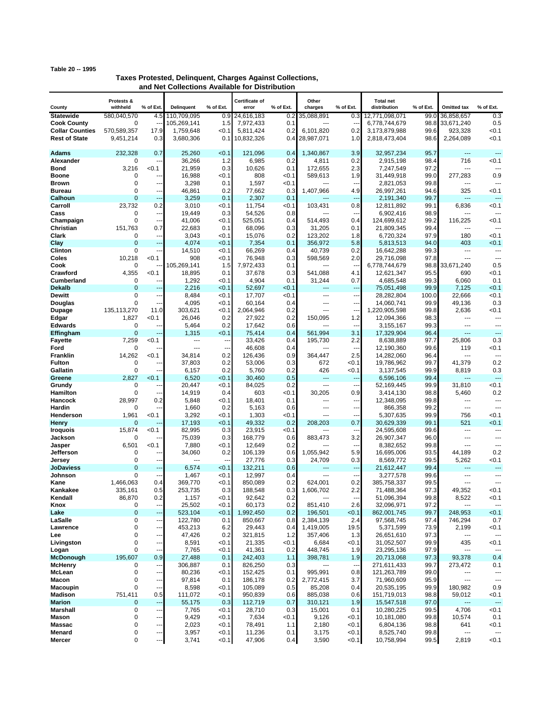## **Table 20 -- 1995**

## **Taxes Protested, Delinquent, Charges Against Collections, and Net Collections Available for Distribution**

|                                              | Protests &                    |                                 |                          |                       | Certificate of         |                | Other                 |                          | <b>Total net</b>               |               |                               |                               |
|----------------------------------------------|-------------------------------|---------------------------------|--------------------------|-----------------------|------------------------|----------------|-----------------------|--------------------------|--------------------------------|---------------|-------------------------------|-------------------------------|
| County                                       | withheld                      | % of Ext.                       | <b>Delinguent</b>        | % of Ext.             | error                  | % of Ext.      | charges               | % of Ext.                | distribution                   | % of Ext.     | <b>Omitted tax</b>            | % of Ext.                     |
| <b>Statewide</b>                             | 580,040,570                   | 4.5                             | 110,709,095              | 0.9                   | 24,616,183             | 0.2            | 35,088,891            | 0.3                      | 12,771,098,071                 | 99.0          | 36,858,657                    | 0.3                           |
| <b>Cook County</b><br><b>Collar Counties</b> | $\mathbf 0$<br>570,589,357    | ц,<br>17.9                      | 105,269,141<br>1,759,648 | 1.5<br>< 0.1          | 7,972,433<br>5,811,424 | 0.1<br>0.2     | $-$<br>6,101,820      | н.<br>0.2                | 6,778,744,679<br>3,173,879,988 | 98.8<br>99.6  | 33,671,240<br>923,328         | 0.5<br>< 0.1                  |
| <b>Rest of State</b>                         | 9,451,214                     | 0.3                             | 3,680,306                | 0.1                   | 10,832,326             | 0.4            | 28,987,071            | 1.0                      | 2,818,473,404                  | 98.6          | 2,264,089                     | < 0.1                         |
|                                              |                               |                                 |                          |                       |                        |                |                       |                          |                                |               |                               |                               |
| <b>Adams</b>                                 | 232.328                       | 0.7                             | 25,260                   | < 0.1                 | 121,096                | 0.4            | 1,340,867             | 3.9                      | 32,957,234                     | 95.7          | $\sim$                        | $-$                           |
| Alexander<br><b>Bond</b>                     | 0<br>3,216                    | --<br>< 0.1                     | 36,266<br>21,959         | 1.2<br>0.3            | 6,985<br>10,626        | 0.2<br>0.1     | 4,811<br>172,655      | 0.2<br>2.3               | 2,915,198<br>7,247,549         | 98.4<br>97.2  | 716<br>---                    | < 0.1                         |
| Boone                                        | 0                             | $\overline{a}$                  | 16,988                   | < 0.1                 | 808                    | < 0.1          | 589,613               | 1.9                      | 31,449,918                     | 99.0          | 277,283                       | 0.9                           |
| Brown                                        | $\mathbf 0$                   | ---                             | 3,298                    | 0.1                   | 1,597                  | < 0.1          | ---                   | --                       | 2,821,053                      | 99.8          | ---                           | $\sim$                        |
| <b>Bureau</b>                                | $\mathbf 0$                   | $\overline{a}$                  | 46,861                   | 0.2                   | 77,662                 | 0.3            | 1,407,966             | 4.9                      | 26,997,261                     | 94.6          | 325                           | < 0.1                         |
| Calhoun                                      | $\overline{0}$                | Ξ.                              | 3,259                    | 0.1                   | 2,307                  | 0.1            |                       | 44                       | 2,191,340                      | 99.7          | ---                           | ---                           |
| Carroll<br>Cass                              | 23,732<br>$\mathbf 0$         | 0.2<br>---                      | 3,010<br>19,449          | < 0.1<br>0.3          | 11,754<br>54,526       | < 0.1<br>0.8   | 103,431               | 0.8                      | 12,811,892<br>6,902,416        | 99.1<br>98.9  | 6,836<br>---                  | < 0.1<br>---                  |
| Champaign                                    | 0                             | $\sim$                          | 41,006                   | < 0.1                 | 525,051                | 0.4            | 514.493               | 0.4                      | 124,699,612                    | 99.2          | 116.225                       | < 0.1                         |
| Christian                                    | 151,763                       | 0.7                             | 22,683                   | 0.1                   | 68,096                 | 0.3            | 31,205                | 0.1                      | 21,809,345                     | 99.4          | $---$                         |                               |
| Clark                                        | 0                             | $\overline{\phantom{a}}$        | 3,043                    | < 0.1                 | 15,076                 | 0.2            | 123,202               | 1.8                      | 6,720,324                      | 97.9          | 180                           | < 0.1                         |
| Clay                                         | $\overline{0}$                | Ξ.                              | 4,074                    | < 0.1                 | 7,354                  | 0.1            | 356,972               | 5.8                      | 5,813,513                      | 94.0          | 403                           | < 0.1                         |
| <b>Clinton</b><br>Coles                      | $\mathbf 0$<br>10,218         | ц,<br>< 0.1                     | 14,510<br>908            | < 0.1<br>< 0.1        | 66,269<br>76,948       | 0.4<br>0.3     | 40,739<br>598,569     | 0.2<br>2.0               | 16,642,288<br>29,716,098       | 99.3<br>97.8  | ---<br>---                    | $\overline{a}$<br>---         |
| Cook                                         | 0                             |                                 | 105,269,141              | 1.5                   | 7,972,433              | 0.1            | $\overline{a}$        | н,                       | 6,778,744,679                  | 98.8          | 33,671,240                    | 0.5                           |
| Crawford                                     | 4,355                         | < 0.1                           | 18,895                   | 0.1                   | 37,678                 | 0.3            | 541,088               | 4.1                      | 12,621,347                     | 95.5          | 690                           | < 0.1                         |
| <b>Cumberland</b>                            | $\mathbf 0$                   | ٠.                              | 1,292                    | < 0.1                 | 4,904                  | 0.1            | 31,244                | 0.7                      | 4.685.548                      | 99.3          | 6,060                         | 0.1                           |
| <b>Dekalb</b><br><b>Dewitt</b>               | $\overline{0}$<br>$\mathbf 0$ | Ξ.<br>$\overline{\phantom{a}}$  | 2,216<br>8,484           | < 0.1<br>< 0.1        | 52,697<br>17,707       | < 0.1<br>< 0.1 | ---<br>$\sim$         | $\overline{a}$<br>---    | 75,051,498                     | 99.9<br>100.0 | 7,125<br>22.666               | < 0.1<br>< 0.1                |
| Douglas                                      | $\mathbf 0$                   | --                              | 4,095                    | < 0.1                 | 60,164                 | 0.4            | ---                   | --                       | 28,282,804<br>14,060,741       | 99.9          | 49,136                        | 0.3                           |
| Dupage                                       | 135, 113, 270                 | 11.0                            | 303,621                  | < 0.1                 | 2,064,946              | 0.2            | ---                   | --                       | 1,220,905,598                  | 99.8          | 2,636                         | < 0.1                         |
| Edgar                                        | 1,827                         | <0.1                            | 26,046                   | 0.2                   | 27,922                 | 0.2            | 150,095               | $1.2$                    | 12,094,366                     | 98.3          | ---                           | $\overline{a}$                |
| <b>Edwards</b>                               | $\mathbf 0$                   | ۰.                              | 5,464                    | 0.2                   | 17.642                 | 0.6            |                       | $\overline{\phantom{a}}$ | 3,155,167                      | 99.3          | ---                           | ---                           |
| Effingham<br><b>Fayette</b>                  | $\mathbf 0$<br>7,259          | ц.<br>< 0.1                     | 1,315<br>---             | < 0.1<br>---          | 75,414<br>33,426       | 0.4<br>0.4     | 561,994<br>195,730    | 3.1<br>2.2               | 17,329,904<br>8,638,889        | 96.4<br>97.7  | ---<br>25,806                 | ---<br>0.3                    |
| Ford                                         | 0                             |                                 | $\overline{a}$           | $\overline{a}$        | 46,608                 | 0.4            |                       | $\overline{\phantom{a}}$ | 12,190,360                     | 99.6          | 119                           | < 0.1                         |
| Franklin                                     | 14,262                        | < 0.1                           | 34,814                   | 0.2                   | 126,436                | 0.9            | 364,447               | 2.5                      | 14,282,060                     | 96.4          | ---                           | ---                           |
| <b>Fulton</b>                                | 0                             | $\overline{a}$                  | 37,803                   | 0.2                   | 53,006                 | 0.3            | 672                   | <0.1                     | 19,786,962                     | 99.7          | 41,379                        | 0.2                           |
| Gallatin                                     | 0                             |                                 | 6,157                    | 0.2                   | 5,760                  | 0.2            | 426<br>$\overline{a}$ | < 0.1                    | 3,137,545                      | 99.9          | 8,819<br>                     | 0.3<br>$\sim$                 |
| Greene<br>Grundy                             | 2,827<br>0                    | < 0.1<br>---                    | 6,520<br>20,447          | < 0.1<br>< 0.1        | 30,460<br>84,025       | 0.5<br>0.2     | ---                   | $\overline{a}$<br>---    | 6,596,106<br>52,169,445        | 99.4<br>99.9  | 31,810                        | < 0.1                         |
| Hamilton                                     | $\mathbf 0$                   | $\sim$                          | 14,919                   | 0.4                   | 603                    | < 0.1          | 30,205                | 0.9                      | 3,414,130                      | 98.8          | 5,460                         | 0.2                           |
| <b>Hancock</b>                               | 28,997                        | 0.2                             | 5,848                    | < 0.1                 | 18,401                 | 0.1            | ---                   | ---                      | 12,348,095                     | 99.8          | ---                           | ---                           |
| Hardin                                       | 0                             | $\overline{a}$                  | 1,660                    | 0.2                   | 5,163                  | 0.6            | $\overline{a}$        | $\overline{\phantom{a}}$ | 866,358                        | 99.2          | $\overline{a}$                | $\sim$                        |
| Henderson<br><b>Henry</b>                    | 1,961<br>0                    | < 0.1                           | 3,292<br>17,193          | < 0.1<br>< 0.1        | 1,303<br>49,332        | < 0.1<br>0.2   | ---<br>208,203        | −−<br>0.7                | 5,307,635<br>30,629,339        | 99.9<br>99.1  | 756<br>521                    | < 0.1<br>< 0.1                |
| <b>Iroquois</b>                              | 15,874                        | < 0.1                           | 82,995                   | 0.3                   | 23,915                 | < 0.1          | ---                   | --                       | 24,595,608                     | 99.6          | $\sim$                        | $\overline{a}$                |
| Jackson                                      | 0                             |                                 | 75,039                   | 0.3                   | 168,779                | 0.6            | 883,473               | 3.2                      | 26,907,347                     | 96.0          | ---                           | $\sim$                        |
| Jasper                                       | 6,501                         | < 0.1                           | 7,880                    | < 0.1                 | 12,649                 | 0.2            |                       | $\overline{a}$           | 8,382,652                      | 99.8          | ---                           | ---                           |
| Jefferson                                    | 0<br>0                        | --<br>$\overline{a}$            | 34,060<br>---            | 0.2<br>$\overline{a}$ | 106,139<br>27,776      | 0.6<br>0.3     | 1,055,942<br>24,709   | 5.9<br>0.3               | 16,695,006<br>8,569,772        | 93.5<br>99.5  | 44,189<br>5,262               | 0.2<br><0.1                   |
| Jersey<br><b>JoDaviess</b>                   | $\overline{0}$                | ---                             | 6,574                    | < 0.1                 | 132,211                | 0.6            | $---$                 | ---                      | 21,612,447                     | 99.4          | ---                           | ---                           |
| Johnson                                      | $\mathbf 0$                   | --                              | 1,467                    | < 0.1                 | 12,997                 | 0.4            | ---                   | --                       | 3,277,578                      | 99.6          | ---                           | ---                           |
| Kane                                         | 1,466,063                     | 0.4                             | 369,770                  | < 0.1                 | 850,089                | 0.2            | 624,001               | 0.2                      | 385,758,337                    | 99.5          | ---                           | $\sim$                        |
| Kankakee                                     | 335,161                       | 0.5                             | 253,735                  | 0.3                   | 188,548                | 0.3            | 1,606,702             | 2.2                      | 71,488,364                     | 97.3          | 49,352                        | < 0.1                         |
| Kendall<br>Knox                              | 86,870<br>0                   | 0.2<br>$\overline{\phantom{a}}$ | 1,157<br>25,502          | 0.1<br>< 0.1          | 92,642<br>60,173       | 0.2<br>0.2     | ---<br>851,410        | 2.6                      | 51,096,394<br>32,096,971       | 99.8<br>97.2  | 8,522                         | 50.1<br>$\overline{a}$        |
| Lake                                         | 0                             | ---                             | 523,104                  | < 0.1                 | 1,992,450              | 0.2            | 196,501               | <0.1                     | 862,001,745                    | 99.7          | 248,953                       | < 0.1                         |
| LaSalle                                      | 0                             | ---                             | 122,780                  | 0.1                   | 850,667                | 0.8            | 2,384,139             | 2.4                      | 97,568,745                     | 97.4          | 746,294                       | 0.7                           |
| Lawrence                                     | 0                             | $\overline{\phantom{a}}$        | 453,213                  | 6.2                   | 29,443                 | 0.4            | 1,419,005             | 19.5                     | 5,371,599                      | 73.9          | 2,199                         | < 0.1                         |
| Lee<br>Livingston                            | 0<br>0                        | ---<br>$\overline{\phantom{a}}$ | 47,426<br>8,591          | 0.2<br>< 0.1          | 321,815<br>21,335      | 1.2<br>< 0.1   | 357,406<br>6,684      | 1.3<br><0.1              | 26,651,610<br>31,052,507       | 97.3<br>99.9  | $\qquad \qquad \cdots$<br>435 | $\qquad \qquad \cdots$<br>0.1 |
| Logan                                        | 0                             | ---                             | 7,765                    | <0.1                  | 41,361                 | 0.2            | 448,745               | 1.9                      | 23,295,136                     | 97.9          | $\scriptstyle\cdots$          | $\overline{a}$                |
| <b>McDonough</b>                             | 195,607                       | 0.9                             | 27,488                   | 0.1                   | 242,403                | 1.1            | 398,781               | 1.9                      | 20,713,068                     | 97.3          | 93,378                        | 0.4                           |
| <b>McHenry</b>                               | 0                             | ---                             | 306,887                  | 0.1                   | 826,250                | 0.3            | $\cdots$              | $\overline{\phantom{a}}$ | 271,611,433                    | 99.7          | 273,472                       | 0.1                           |
| McLean                                       | 0<br>0                        | ---                             | 80,236                   | <0.1                  | 152,425                | 0.1            | 995,991               | 0.8                      | 121,263,789<br>71,960,609      | 99.0          | ---<br>$\cdots$               | $\overline{\phantom{a}}$      |
| Macon<br><b>Macoupin</b>                     | 0                             | ---<br>---                      | 97,814<br>8,598          | 0.1<br>< 0.1          | 186,178<br>105,089     | 0.2<br>0.5     | 2,772,415<br>85,208   | 3.7<br>0.4               | 20,535,195                     | 95.9<br>99.9  | 180,982                       | ---<br>0.9                    |
| Madison                                      | 751,411                       | 0.5                             | 111,072                  | < 0.1                 | 950,839                | 0.6            | 885,038               | 0.6                      | 151,719,013                    | 98.8          | 59,012                        | 0.1                           |
| <b>Marion</b>                                | 0                             | ---                             | 55,175                   | 0.3                   | 112,719                | 0.7            | 310,121               | 1.9                      | 15,547,518                     | 97.0          | ---                           | $\overline{\phantom{a}}$      |
| <b>Marshall</b>                              | 0                             | ---                             | 7,765                    | < 0.1                 | 28,710                 | 0.3            | 15,001                | 0.1                      | 10,280,225                     | 99.5          | 4,706                         | <0.1                          |
| Mason<br><b>Massac</b>                       | 0<br>0                        | ---<br>---                      | 9,429<br>2,023           | < 0.1<br>< 0.1        | 7,634<br>78,491        | < 0.1<br>1.1   | 9,126<br>2,180        | 0.1<br><0.1              | 10,181,080<br>6,804,136        | 99.8<br>98.8  | 10,574<br>641                 | 0.1<br>0.1                    |
| Menard                                       | 0                             | ---                             | 3,957                    | < 0.1                 | 11,236                 | 0.1            | 3,175                 | 0.1                      | 8,525,740                      | 99.8          | ---                           | $\scriptstyle\cdots$          |
| Mercer                                       | 0                             | ---                             | 3,741                    | < 0.1                 | 47,906                 | 0.4            | 3,590                 | 0.1                      | 10,758,994                     | 99.5          | 2,819                         | < 0.1                         |